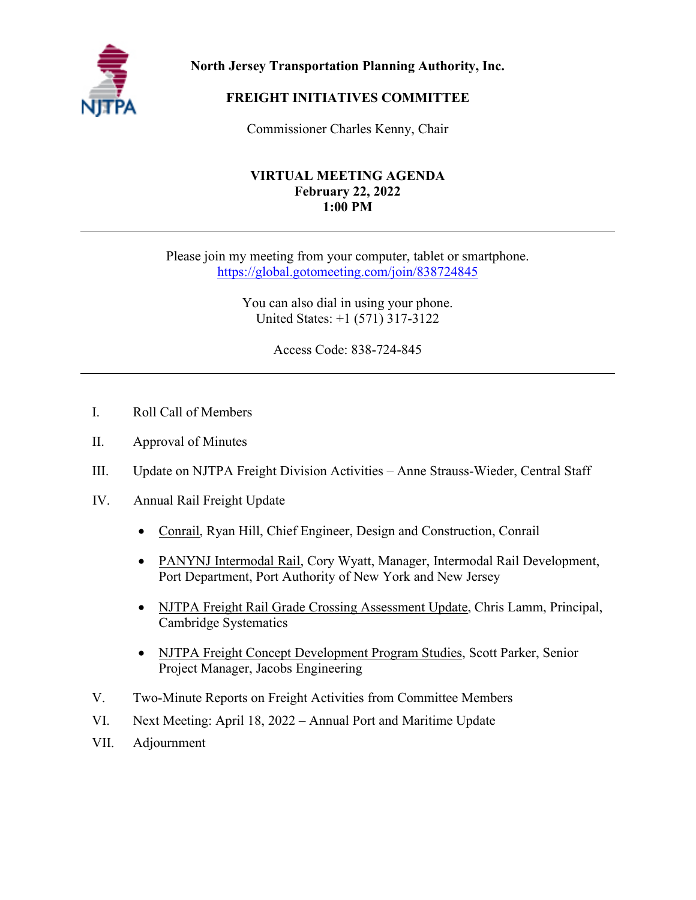

**North Jersey Transportation Planning Authority, Inc.**

# **FREIGHT INITIATIVES COMMITTEE**

Commissioner Charles Kenny, Chair

### **VIRTUAL MEETING AGENDA February 22, 2022 1:00 PM**

Please join my meeting from your computer, tablet or smartphone. [https://global.gotomeeting.com/join/838724845](https://nam10.safelinks.protection.outlook.com/?url=https%3A%2F%2Fglobal.gotomeeting.com%2Fjoin%2F838724845&data=04%7C01%7Cjrowinski%40njtpa.org%7Cf555352d67b34fcd241c08d9997b09f5%7C6a04683a9f6945f8a830bfa84c2e0051%7C1%7C0%7C637709576015419252%7CUnknown%7CTWFpbGZsb3d8eyJWIjoiMC4wLjAwMDAiLCJQIjoiV2luMzIiLCJBTiI6Ik1haWwiLCJXVCI6Mn0%3D%7C1000&sdata=rHWFr3bpeDqiXqBzMAlbFFQQ4X2tEsufLS%2BX8Muun5I%3D&reserved=0)

> You can also dial in using your phone. United States: +1 (571) 317-3122

> > Access Code: 838-724-845

- I. Roll Call of Members
- II. Approval of Minutes
- III. Update on NJTPA Freight Division Activities Anne Strauss-Wieder, Central Staff
- IV. Annual Rail Freight Update
	- Conrail, Ryan Hill, Chief Engineer, Design and Construction, Conrail
	- PANYNJ Intermodal Rail, Cory Wyatt, Manager, Intermodal Rail Development, Port Department, Port Authority of New York and New Jersey
	- NJTPA Freight Rail Grade Crossing Assessment Update, Chris Lamm, Principal, Cambridge Systematics
	- NJTPA Freight Concept Development Program Studies, Scott Parker, Senior Project Manager, Jacobs Engineering
- V. Two-Minute Reports on Freight Activities from Committee Members
- VI. Next Meeting: April 18, 2022 Annual Port and Maritime Update
- VII. Adjournment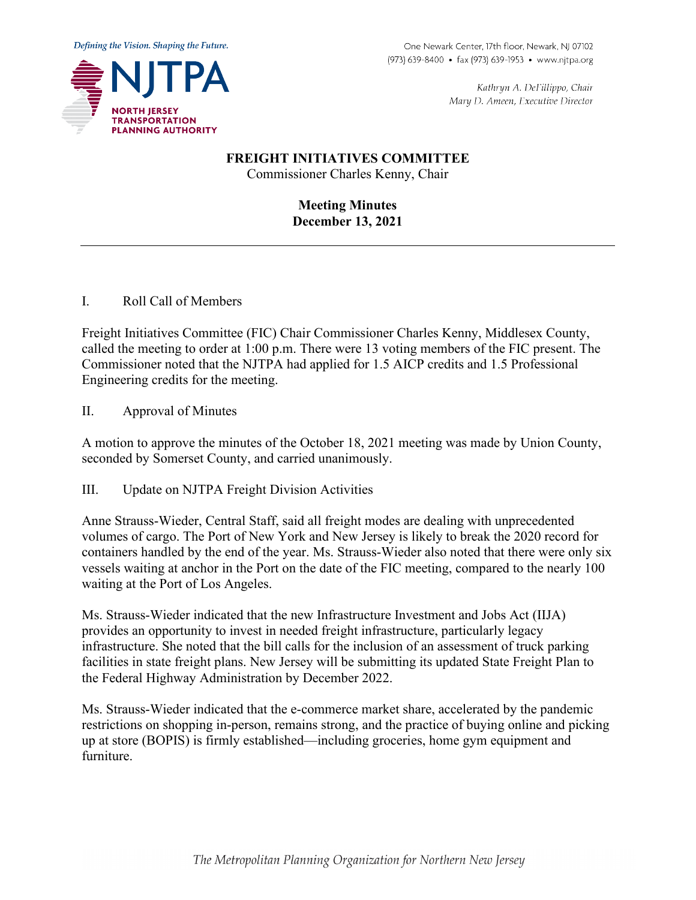

Kathryn A. DeFillippo, Chair Mary D. Ameen, Executive Director

# **FREIGHT INITIATIVES COMMITTEE**

Commissioner Charles Kenny, Chair

**Meeting Minutes December 13, 2021**

I. Roll Call of Members

Freight Initiatives Committee (FIC) Chair Commissioner Charles Kenny, Middlesex County, called the meeting to order at 1:00 p.m. There were 13 voting members of the FIC present. The Commissioner noted that the NJTPA had applied for 1.5 AICP credits and 1.5 Professional Engineering credits for the meeting.

II. Approval of Minutes

A motion to approve the minutes of the October 18, 2021 meeting was made by Union County, seconded by Somerset County, and carried unanimously.

III. Update on NJTPA Freight Division Activities

Anne Strauss-Wieder, Central Staff, said all freight modes are dealing with unprecedented volumes of cargo. The Port of New York and New Jersey is likely to break the 2020 record for containers handled by the end of the year. Ms. Strauss-Wieder also noted that there were only six vessels waiting at anchor in the Port on the date of the FIC meeting, compared to the nearly 100 waiting at the Port of Los Angeles.

Ms. Strauss-Wieder indicated that the new [Infrastructure Investment and Jobs Act](https://www.congress.gov/bill/117th-congress/house-bill/3684) (IIJA) provides an opportunity to invest in needed freight infrastructure, particularly legacy infrastructure. She noted that the bill calls for the inclusion of an assessment of truck parking facilities in state freight plans. New Jersey will be submitting its updated State Freight Plan to the Federal Highway Administration by December 2022.

Ms. Strauss-Wieder indicated that the e-commerce market share, accelerated by the pandemic restrictions on shopping in-person, remains strong, and the practice of buying online and picking up at store (BOPIS) is firmly established—including groceries, home gym equipment and furniture.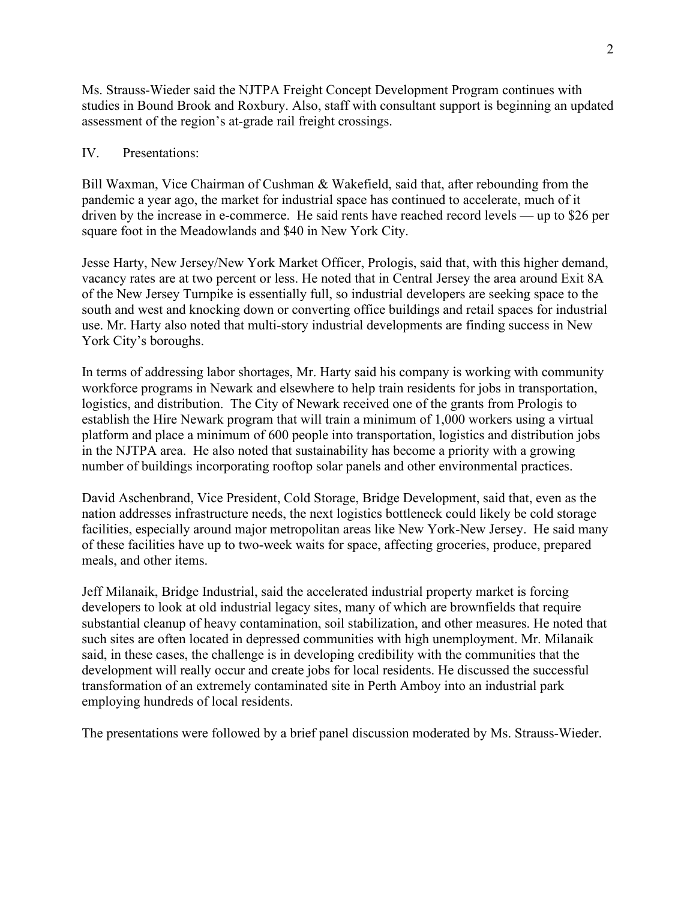Ms. Strauss-Wieder said the NJTPA Freight Concept Development Program continues with studies in Bound Brook and Roxbury. Also, staff with consultant support is beginning an updated assessment of the region's at-grade rail freight crossings.

#### IV. Presentations:

Bill Waxman, Vice Chairman of Cushman & Wakefield, said that, after rebounding from the pandemic a year ago, the market for industrial space has continued to accelerate, much of it driven by the increase in e-commerce. He said rents have reached record levels — up to \$26 per square foot in the Meadowlands and \$40 in New York City.

Jesse Harty, New Jersey/New York Market Officer, Prologis, said that, with this higher demand, vacancy rates are at two percent or less. He noted that in Central Jersey the area around Exit 8A of the New Jersey Turnpike is essentially full, so industrial developers are seeking space to the south and west and knocking down or converting office buildings and retail spaces for industrial use. Mr. Harty also noted that multi-story industrial developments are finding success in New York City's boroughs.

In terms of addressing labor shortages, Mr. Harty said his company is working with community workforce programs in Newark and elsewhere to help train residents for jobs in transportation, logistics, and distribution. The City of Newark received one of the grants from Prologis to establish the Hire Newark program that will train a minimum of 1,000 workers using a virtual platform and place a minimum of 600 people into transportation, logistics and distribution jobs in the NJTPA area. He also noted that sustainability has become a priority with a growing number of buildings incorporating rooftop solar panels and other environmental practices.

David Aschenbrand, Vice President, Cold Storage, Bridge Development, said that, even as the nation addresses infrastructure needs, the next logistics bottleneck could likely be cold storage facilities, especially around major metropolitan areas like New York-New Jersey. He said many of these facilities have up to two-week waits for space, affecting groceries, produce, prepared meals, and other items.

Jeff Milanaik, Bridge Industrial, said the accelerated industrial property market is forcing developers to look at old industrial legacy sites, many of which are brownfields that require substantial cleanup of heavy contamination, soil stabilization, and other measures. He noted that such sites are often located in depressed communities with high unemployment. Mr. Milanaik said, in these cases, the challenge is in developing credibility with the communities that the development will really occur and create jobs for local residents. He discussed the successful transformation of an extremely contaminated site in Perth Amboy into an industrial park employing hundreds of local residents.

The presentations were followed by a brief panel discussion moderated by Ms. Strauss-Wieder.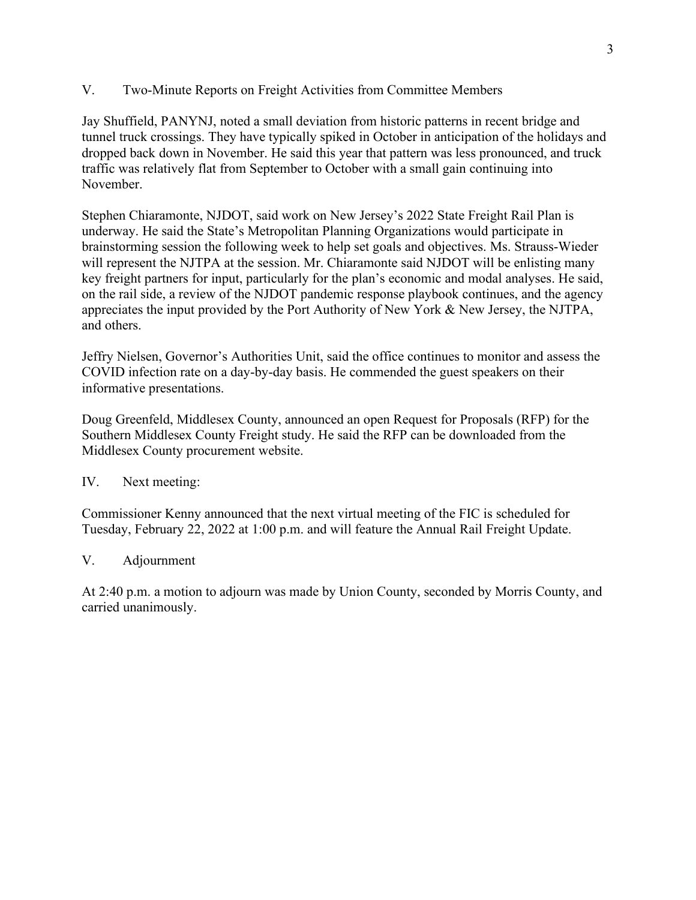V. Two-Minute Reports on Freight Activities from Committee Members

Jay Shuffield, PANYNJ, noted a small deviation from historic patterns in recent bridge and tunnel truck crossings. They have typically spiked in October in anticipation of the holidays and dropped back down in November. He said this year that pattern was less pronounced, and truck traffic was relatively flat from September to October with a small gain continuing into November.

Stephen Chiaramonte, NJDOT, said work on New Jersey's 2022 State Freight Rail Plan is underway. He said the State's Metropolitan Planning Organizations would participate in brainstorming session the following week to help set goals and objectives. Ms. Strauss-Wieder will represent the NJTPA at the session. Mr. Chiaramonte said NJDOT will be enlisting many key freight partners for input, particularly for the plan's economic and modal analyses. He said, on the rail side, a review of the NJDOT pandemic response playbook continues, and the agency appreciates the input provided by the Port Authority of New York & New Jersey, the NJTPA, and others.

Jeffry Nielsen, Governor's Authorities Unit, said the office continues to monitor and assess the COVID infection rate on a day-by-day basis. He commended the guest speakers on their informative presentations.

Doug Greenfeld, Middlesex County, announced an open Request for Proposals (RFP) for the Southern Middlesex County Freight study. He said the RFP can be downloaded from the Middlesex County procurement website.

## IV. Next meeting:

Commissioner Kenny announced that the next virtual meeting of the FIC is scheduled for Tuesday, February 22, 2022 at 1:00 p.m. and will feature the Annual Rail Freight Update.

## V. Adjournment

At 2:40 p.m. a motion to adjourn was made by Union County, seconded by Morris County, and carried unanimously.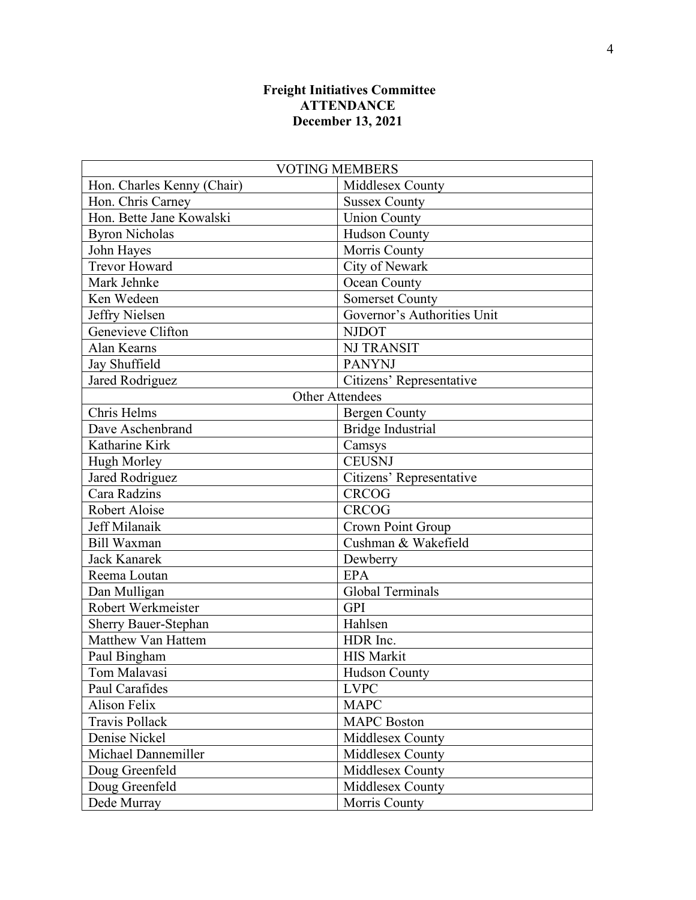# **Freight Initiatives Committee ATTENDANCE December 13, 2021**

| <b>VOTING MEMBERS</b>      |                             |  |
|----------------------------|-----------------------------|--|
| Hon. Charles Kenny (Chair) | Middlesex County            |  |
| Hon. Chris Carney          | <b>Sussex County</b>        |  |
| Hon. Bette Jane Kowalski   | <b>Union County</b>         |  |
| <b>Byron Nicholas</b>      | <b>Hudson County</b>        |  |
| John Hayes                 | Morris County               |  |
| <b>Trevor Howard</b>       | City of Newark              |  |
| Mark Jehnke                | <b>Ocean County</b>         |  |
| Ken Wedeen                 | <b>Somerset County</b>      |  |
| Jeffry Nielsen             | Governor's Authorities Unit |  |
| Genevieve Clifton          | <b>NJDOT</b>                |  |
| Alan Kearns                | <b>NJ TRANSIT</b>           |  |
| Jay Shuffield              | <b>PANYNJ</b>               |  |
| Jared Rodriguez            | Citizens' Representative    |  |
| <b>Other Attendees</b>     |                             |  |
| Chris Helms                | <b>Bergen County</b>        |  |
| Dave Aschenbrand           | <b>Bridge Industrial</b>    |  |
| Katharine Kirk             | Camsys                      |  |
| <b>Hugh Morley</b>         | <b>CEUSNJ</b>               |  |
| Jared Rodriguez            | Citizens' Representative    |  |
| Cara Radzins               | <b>CRCOG</b>                |  |
| Robert Aloise              | <b>CRCOG</b>                |  |
| Jeff Milanaik              | Crown Point Group           |  |
| <b>Bill Waxman</b>         | Cushman & Wakefield         |  |
| <b>Jack Kanarek</b>        | Dewberry                    |  |
| Reema Loutan               | <b>EPA</b>                  |  |
| Dan Mulligan               | <b>Global Terminals</b>     |  |
| Robert Werkmeister         | <b>GPI</b>                  |  |
| Sherry Bauer-Stephan       | Hahlsen                     |  |
| Matthew Van Hattem         | HDR Inc.                    |  |
| Paul Bingham               | <b>HIS Markit</b>           |  |
| Tom Malavasi               | Hudson County               |  |
| Paul Carafides             | <b>LVPC</b>                 |  |
| <b>Alison Felix</b>        | <b>MAPC</b>                 |  |
| <b>Travis Pollack</b>      | <b>MAPC</b> Boston          |  |
| Denise Nickel              | Middlesex County            |  |
| Michael Dannemiller        | Middlesex County            |  |
| Doug Greenfeld             | Middlesex County            |  |
| Doug Greenfeld             | Middlesex County            |  |
| Dede Murray                | Morris County               |  |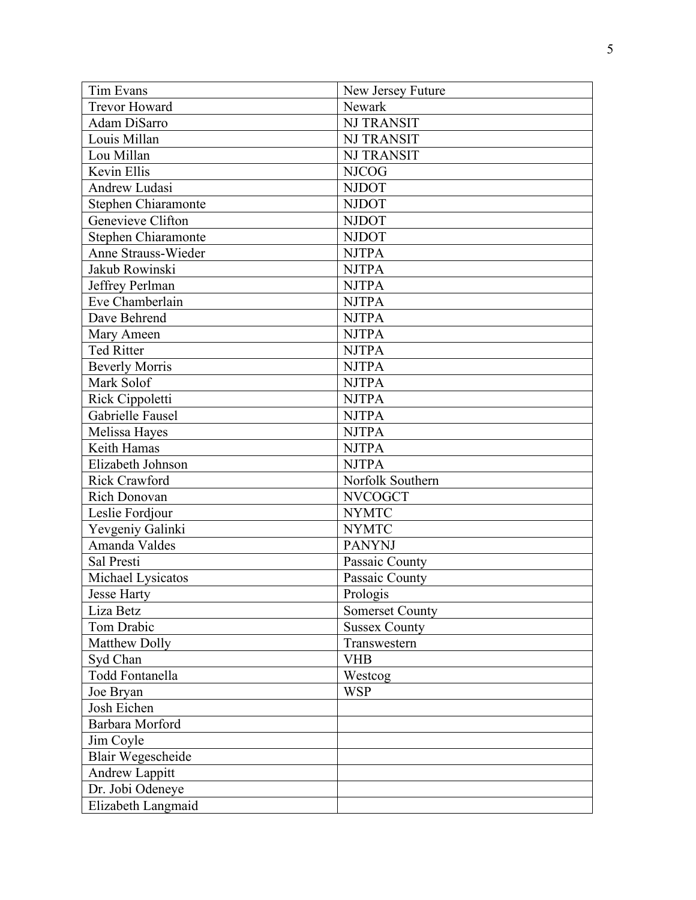| Tim Evans                | New Jersey Future      |
|--------------------------|------------------------|
| <b>Trevor Howard</b>     | Newark                 |
| Adam DiSarro             | <b>NJ TRANSIT</b>      |
| Louis Millan             | <b>NJ TRANSIT</b>      |
| Lou Millan               | <b>NJ TRANSIT</b>      |
| Kevin Ellis              | <b>NJCOG</b>           |
| Andrew Ludasi            | <b>NJDOT</b>           |
| Stephen Chiaramonte      | <b>NJDOT</b>           |
| Genevieve Clifton        | <b>NJDOT</b>           |
| Stephen Chiaramonte      | <b>NJDOT</b>           |
| Anne Strauss-Wieder      | <b>NJTPA</b>           |
| Jakub Rowinski           | <b>NJTPA</b>           |
| Jeffrey Perlman          | <b>NJTPA</b>           |
| Eve Chamberlain          | <b>NJTPA</b>           |
| Dave Behrend             | <b>NJTPA</b>           |
| Mary Ameen               | <b>NJTPA</b>           |
| <b>Ted Ritter</b>        | <b>NJTPA</b>           |
| <b>Beverly Morris</b>    | <b>NJTPA</b>           |
| Mark Solof               | <b>NJTPA</b>           |
| Rick Cippoletti          | <b>NJTPA</b>           |
| Gabrielle Fausel         | <b>NJTPA</b>           |
| Melissa Hayes            | <b>NJTPA</b>           |
| Keith Hamas              | <b>NJTPA</b>           |
| Elizabeth Johnson        | <b>NJTPA</b>           |
| <b>Rick Crawford</b>     | Norfolk Southern       |
| Rich Donovan             | <b>NVCOGCT</b>         |
| Leslie Fordjour          | <b>NYMTC</b>           |
| Yevgeniy Galinki         | <b>NYMTC</b>           |
| Amanda Valdes            | <b>PANYNJ</b>          |
| Sal Presti               | Passaic County         |
| Michael Lysicatos        | Passaic County         |
| <b>Jesse Harty</b>       | Prologis               |
| Liza Betz                | <b>Somerset County</b> |
| Tom Drabic               | <b>Sussex County</b>   |
| Matthew Dolly            | Transwestern           |
| Syd Chan                 | <b>VHB</b>             |
| <b>Todd Fontanella</b>   | Westcog                |
| Joe Bryan                | <b>WSP</b>             |
| Josh Eichen              |                        |
| Barbara Morford          |                        |
| Jim Coyle                |                        |
| <b>Blair Wegescheide</b> |                        |
| Andrew Lappitt           |                        |
| Dr. Jobi Odeneye         |                        |
| Elizabeth Langmaid       |                        |